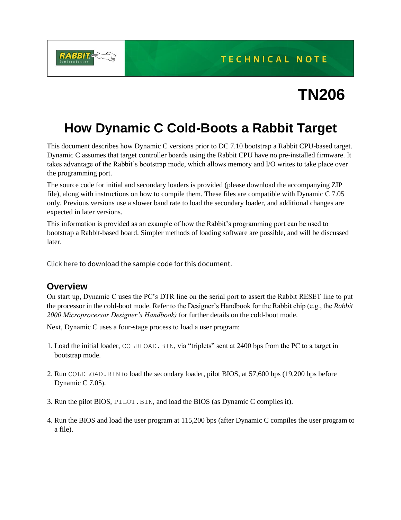**TECHNICAL NOTE** 



# **TN206**

## **How Dynamic C Cold-Boots a Rabbit Target**

This document describes how Dynamic C versions prior to DC 7.10 bootstrap a Rabbit CPU-based target. Dynamic C assumes that target controller boards using the Rabbit CPU have no pre-installed firmware. It takes advantage of the Rabbit's bootstrap mode, which allows memory and I/O writes to take place over the programming port.

The source code for initial and secondary loaders is provided (please download the accompanying ZIP file), along with instructions on how to compile them. These files are compatible with Dynamic C 7.05 only. Previous versions use a slower baud rate to load the secondary loader, and additional changes are expected in later versions.

This information is provided as an example of how the Rabbit's programming port can be used to bootstrap a Rabbit-based board. Simpler methods of loading software are possible, and will be discussed later.

[Click here](https://ftp1.digi.com/support/sampleapplications/022-0049_d.zip) to download the sample code for this document.

#### **Overview**

On start up, Dynamic C uses the PC's DTR line on the serial port to assert the Rabbit RESET line to put the processor in the cold-boot mode. Refer to the Designer's Handbook for the Rabbit chip (e.g., the *Rabbit 2000 Microprocessor Designer's Handbook)* for further details on the cold-boot mode.

Next, Dynamic C uses a four-stage process to load a user program:

- 1. Load the initial loader, COLDLOAD.BIN, via "triplets" sent at 2400 bps from the PC to a target in bootstrap mode.
- 2. Run COLDLOAD.BIN to load the secondary loader, pilot BIOS, at 57,600 bps (19,200 bps before Dynamic C 7.05).
- 3. Run the pilot BIOS, PILOT.BIN, and load the BIOS (as Dynamic C compiles it).
- 4. Run the BIOS and load the user program at 115,200 bps (after Dynamic C compiles the user program to a file).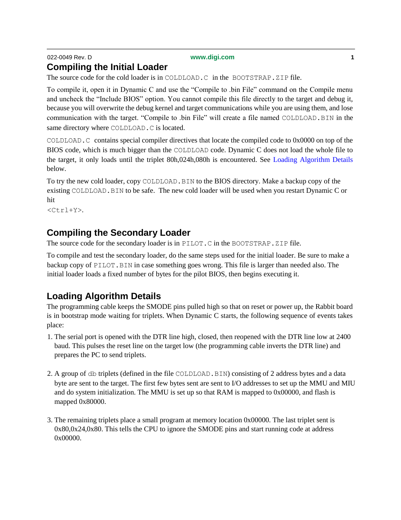#### 022-0049 Rev. D **[www.digi.com](http://www.digi.com/) 1 Compiling the Initial Loader**

The source code for the cold loader is in COLDLOAD.C in the BOOTSTRAP.ZIP file.

To compile it, open it in Dynamic C and use the "Compile to .bin File" command on the Compile menu and uncheck the "Include BIOS" option. You cannot compile this file directly to the target and debug it, because you will overwrite the debug kernel and target communications while you are using them, and lose communication with the target. "Compile to .bin File" will create a file named COLDLOAD.BIN in the same directory where COLDLOAD.C is located.

COLDLOAD.C contains special compiler directives that locate the compiled code to 0x0000 on top of the BIOS code, which is much bigger than the COLDLOAD code. Dynamic C does not load the whole file to the target, it only loads until the triplet 80h,024h,080h is encountered. See Loading Algorithm Details below.

To try the new cold loader, copy COLDLOAD.BIN to the BIOS directory. Make a backup copy of the existing COLDLOAD.BIN to be safe. The new cold loader will be used when you restart Dynamic C or hit

 $<$ C $tr1+Y$  $>$ .

### **Compiling the Secondary Loader**

The source code for the secondary loader is in PILOT.C in the BOOTSTRAP.ZIP file.

To compile and test the secondary loader, do the same steps used for the initial loader. Be sure to make a backup copy of PILOT. BIN in case something goes wrong. This file is larger than needed also. The initial loader loads a fixed number of bytes for the pilot BIOS, then begins executing it.

#### **Loading Algorithm Details**

The programming cable keeps the SMODE pins pulled high so that on reset or power up, the Rabbit board is in bootstrap mode waiting for triplets. When Dynamic C starts, the following sequence of events takes place:

- 1. The serial port is opened with the DTR line high, closed, then reopened with the DTR line low at 2400 baud. This pulses the reset line on the target low (the programming cable inverts the DTR line) and prepares the PC to send triplets.
- 2. A group of db triplets (defined in the file COLDLOAD.BIN) consisting of 2 address bytes and a data byte are sent to the target. The first few bytes sent are sent to I/O addresses to set up the MMU and MIU and do system initialization. The MMU is set up so that RAM is mapped to 0x00000, and flash is mapped 0x80000.
- 3. The remaining triplets place a small program at memory location 0x00000. The last triplet sent is 0x80,0x24,0x80. This tells the CPU to ignore the SMODE pins and start running code at address 0x00000.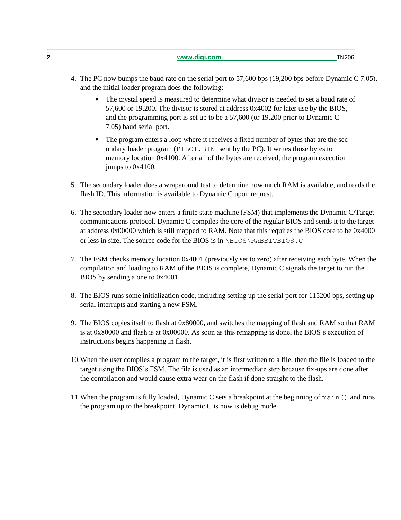**2 [www.digi.com](http://www.digi.com/)** TN206

- **•** The crystal speed is measured to determine what divisor is needed to set a baud rate of 57,600 or 19,200. The divisor is stored at address 0x4002 for later use by the BIOS, and the programming port is set up to be a 57,600 (or 19,200 prior to Dynamic C 7.05) baud serial port.
- The program enters a loop where it receives a fixed number of bytes that are the secondary loader program (PILOT.BIN sent by the PC). It writes those bytes to memory location 0x4100. After all of the bytes are received, the program execution jumps to 0x4100.
- 5. The secondary loader does a wraparound test to determine how much RAM is available, and reads the flash ID. This information is available to Dynamic C upon request.
- 6. The secondary loader now enters a finite state machine (FSM) that implements the Dynamic C/Target communications protocol. Dynamic C compiles the core of the regular BIOS and sends it to the target at address 0x00000 which is still mapped to RAM. Note that this requires the BIOS core to be 0x4000 or less in size. The source code for the BIOS is in \BIOS\RABBITBIOS.C
- 7. The FSM checks memory location 0x4001 (previously set to zero) after receiving each byte. When the compilation and loading to RAM of the BIOS is complete, Dynamic C signals the target to run the BIOS by sending a one to 0x4001.
- 8. The BIOS runs some initialization code, including setting up the serial port for 115200 bps, setting up serial interrupts and starting a new FSM.
- 9. The BIOS copies itself to flash at 0x80000, and switches the mapping of flash and RAM so that RAM is at 0x80000 and flash is at 0x00000. As soon as this remapping is done, the BIOS's execution of instructions begins happening in flash.
- 10.When the user compiles a program to the target, it is first written to a file, then the file is loaded to the target using the BIOS's FSM. The file is used as an intermediate step because fix-ups are done after the compilation and would cause extra wear on the flash if done straight to the flash.
- 11.When the program is fully loaded, Dynamic C sets a breakpoint at the beginning of main() and runs the program up to the breakpoint. Dynamic C is now is debug mode.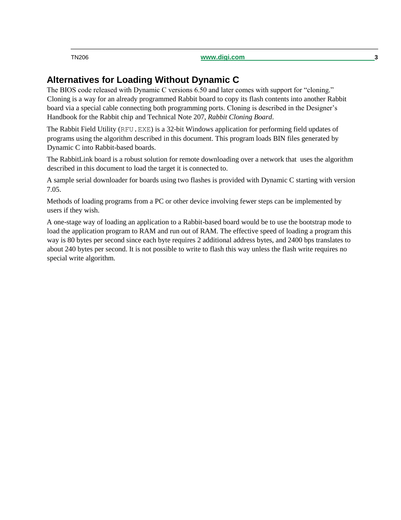TN206 **[www.digi.com](http://www.digi.com/) 3**

#### **Alternatives for Loading Without Dynamic C**

The BIOS code released with Dynamic C versions 6.50 and later comes with support for "cloning." Cloning is a way for an already programmed Rabbit board to copy its flash contents into another Rabbit board via a special cable connecting both programming ports. Cloning is described in the Designer's Handbook for the Rabbit chip and Technical Note 207, *Rabbit Cloning Board*.

The Rabbit Field Utility (RFU.EXE) is a 32-bit Windows application for performing field updates of programs using the algorithm described in this document. This program loads BIN files generated by Dynamic C into Rabbit-based boards.

The RabbitLink board is a robust solution for remote downloading over a network that uses the algorithm described in this document to load the target it is connected to.

A sample serial downloader for boards using two flashes is provided with Dynamic C starting with version 7.05.

Methods of loading programs from a PC or other device involving fewer steps can be implemented by users if they wish.

A one-stage way of loading an application to a Rabbit-based board would be to use the bootstrap mode to load the application program to RAM and run out of RAM. The effective speed of loading a program this way is 80 bytes per second since each byte requires 2 additional address bytes, and 2400 bps translates to about 240 bytes per second. It is not possible to write to flash this way unless the flash write requires no special write algorithm.